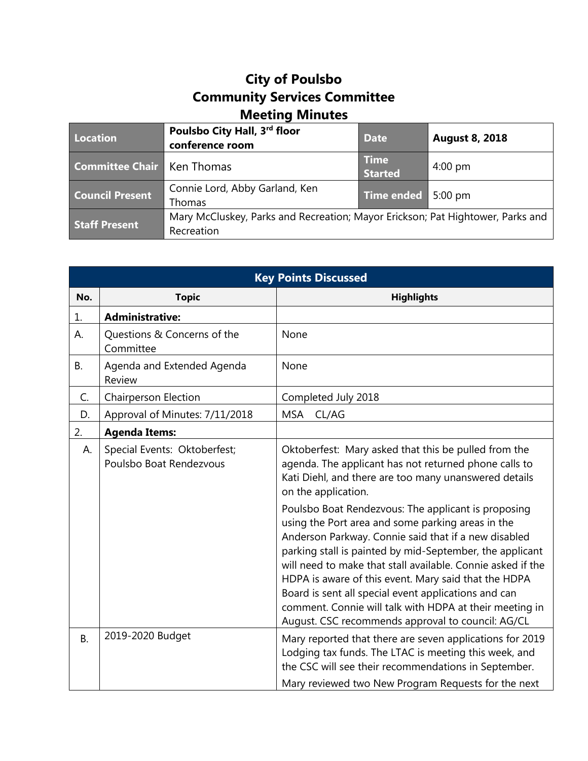## **City of Poulsbo Community Services Committee Meeting Minutes**

| Location                            | Poulsbo City Hall, 3rd floor<br>conference room                                              | <b>Date</b>                   | <b>August 8, 2018</b> |
|-------------------------------------|----------------------------------------------------------------------------------------------|-------------------------------|-----------------------|
| <b>Committee Chair   Ken Thomas</b> |                                                                                              | <b>Time</b><br><b>Started</b> | $4:00$ pm             |
| <b>Council Present</b>              | Connie Lord, Abby Garland, Ken<br>Thomas                                                     | Time ended 5:00 pm            |                       |
| <b>Staff Present</b>                | Mary McCluskey, Parks and Recreation; Mayor Erickson; Pat Hightower, Parks and<br>Recreation |                               |                       |

| <b>Key Points Discussed</b> |                                                         |                                                                                                                                                                                                                                                                                                                                                                                                                                                                                                                                                                                                                                                                                                                              |  |
|-----------------------------|---------------------------------------------------------|------------------------------------------------------------------------------------------------------------------------------------------------------------------------------------------------------------------------------------------------------------------------------------------------------------------------------------------------------------------------------------------------------------------------------------------------------------------------------------------------------------------------------------------------------------------------------------------------------------------------------------------------------------------------------------------------------------------------------|--|
| No.                         | <b>Topic</b>                                            | <b>Highlights</b>                                                                                                                                                                                                                                                                                                                                                                                                                                                                                                                                                                                                                                                                                                            |  |
| 1.                          | <b>Administrative:</b>                                  |                                                                                                                                                                                                                                                                                                                                                                                                                                                                                                                                                                                                                                                                                                                              |  |
| А.                          | Questions & Concerns of the<br>Committee                | None                                                                                                                                                                                                                                                                                                                                                                                                                                                                                                                                                                                                                                                                                                                         |  |
| <b>B.</b>                   | Agenda and Extended Agenda<br>Review                    | None                                                                                                                                                                                                                                                                                                                                                                                                                                                                                                                                                                                                                                                                                                                         |  |
| C.                          | <b>Chairperson Election</b>                             | Completed July 2018                                                                                                                                                                                                                                                                                                                                                                                                                                                                                                                                                                                                                                                                                                          |  |
| D.                          | Approval of Minutes: 7/11/2018                          | MSA<br>CL/AG                                                                                                                                                                                                                                                                                                                                                                                                                                                                                                                                                                                                                                                                                                                 |  |
| 2.                          | <b>Agenda Items:</b>                                    |                                                                                                                                                                                                                                                                                                                                                                                                                                                                                                                                                                                                                                                                                                                              |  |
| А.                          | Special Events: Oktoberfest;<br>Poulsbo Boat Rendezvous | Oktoberfest: Mary asked that this be pulled from the<br>agenda. The applicant has not returned phone calls to<br>Kati Diehl, and there are too many unanswered details<br>on the application.<br>Poulsbo Boat Rendezvous: The applicant is proposing<br>using the Port area and some parking areas in the<br>Anderson Parkway. Connie said that if a new disabled<br>parking stall is painted by mid-September, the applicant<br>will need to make that stall available. Connie asked if the<br>HDPA is aware of this event. Mary said that the HDPA<br>Board is sent all special event applications and can<br>comment. Connie will talk with HDPA at their meeting in<br>August. CSC recommends approval to council: AG/CL |  |
| <b>B.</b>                   | 2019-2020 Budget                                        | Mary reported that there are seven applications for 2019<br>Lodging tax funds. The LTAC is meeting this week, and<br>the CSC will see their recommendations in September.<br>Mary reviewed two New Program Requests for the next                                                                                                                                                                                                                                                                                                                                                                                                                                                                                             |  |